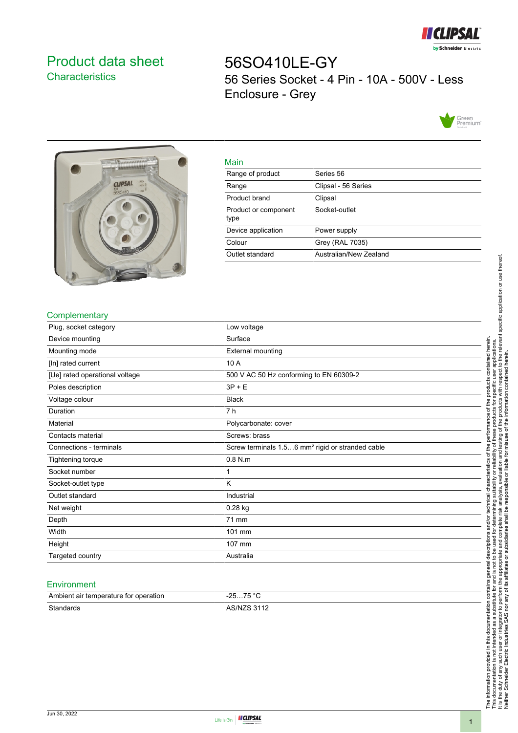

# <span id="page-0-0"></span>Product data sheet **Characteristics**

56SO410LE-GY 56 Series Socket - 4 Pin - 10A - 500V - Less Enclosure - Grey





| Main             |
|------------------|
| Range of product |
|                  |

| Range of product             | Series 56              |
|------------------------------|------------------------|
| Range                        | Clipsal - 56 Series    |
| Product brand                | Clipsal                |
| Product or component<br>type | Socket-outlet          |
| Device application           | Power supply           |
| Colour                       | Grey (RAL 7035)        |
| Outlet standard              | Australian/New Zealand |
|                              |                        |

### **Complementary**

| Plug, socket category          | Low voltage                                                  |
|--------------------------------|--------------------------------------------------------------|
| Device mounting                | Surface                                                      |
| Mounting mode                  | External mounting                                            |
| [In] rated current             | 10 A                                                         |
| [Ue] rated operational voltage | 500 V AC 50 Hz conforming to EN 60309-2                      |
| Poles description              | $3P + E$                                                     |
| Voltage colour                 | <b>Black</b>                                                 |
| Duration                       | 7 h                                                          |
| Material                       | Polycarbonate: cover                                         |
| Contacts material              | Screws: brass                                                |
| Connections - terminals        | Screw terminals 1.56 mm <sup>2</sup> rigid or stranded cable |
| Tightening torque              | $0.8$ N.m                                                    |
| Socket number                  | 1                                                            |
| Socket-outlet type             | Κ                                                            |
| Outlet standard                | Industrial                                                   |
| Net weight                     | $0.28$ kg                                                    |
| Depth                          | 71 mm                                                        |
| Width                          | 101 mm                                                       |
| Height                         | 107 mm                                                       |
| Targeted country               | Australia                                                    |

#### **Environment**

| Ambient air temperature for operation | 75 °C<br>ว⊏<br>. <b>. ب</b><br><b>20</b> |
|---------------------------------------|------------------------------------------|
| Standards                             | <b>ARINIZR 3112</b>                      |